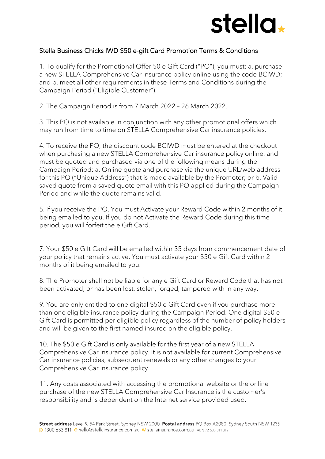

## Stella Business Chicks IWD \$50 e-gift Card Promotion Terms & Conditions

1. To qualify for the Promotional Offer 50 e Gift Card ("PO"), you must: a. purchase a new STELLA Comprehensive Car insurance policy online using the code BCIWD; and b. meet all other requirements in these Terms and Conditions during the Campaign Period ("Eligible Customer").

2. The Campaign Period is from 7 March 2022 – 26 March 2022.

3. This PO is not available in conjunction with any other promotional offers which may run from time to time on STELLA Comprehensive Car insurance policies.

4. To receive the PO, the discount code BCIWD must be entered at the checkout when purchasing a new STELLA Comprehensive Car insurance policy online, and must be quoted and purchased via one of the following means during the Campaign Period: a. Online quote and purchase via the unique URL/web address for this PO ("Unique Address") that is made available by the Promoter; or b. Valid saved quote from a saved quote email with this PO applied during the Campaign Period and while the quote remains valid.

5. If you receive the PO, You must Activate your Reward Code within 2 months of it being emailed to you. If you do not Activate the Reward Code during this time period, you will forfeit the e Gift Card.

7. Your \$50 e Gift Card will be emailed within 35 days from commencement date of your policy that remains active. You must activate your \$50 e Gift Card within 2 months of it being emailed to you.

8. The Promoter shall not be liable for any e Gift Card or Reward Code that has not been activated, or has been lost, stolen, forged, tampered with in any way.

9. You are only entitled to one digital \$50 e Gift Card even if you purchase more than one eligible insurance policy during the Campaign Period. One digital \$50 e Gift Card is permitted per eligible policy regardless of the number of policy holders and will be given to the first named insured on the eligible policy.

10. The \$50 e Gift Card is only available for the first year of a new STELLA Comprehensive Car insurance policy. It is not available for current Comprehensive Car insurance policies, subsequent renewals or any other changes to your Comprehensive Car insurance policy.

11. Any costs associated with accessing the promotional website or the online purchase of the new STELLA Comprehensive Car Insurance is the customer's responsibility and is dependent on the Internet service provided used.